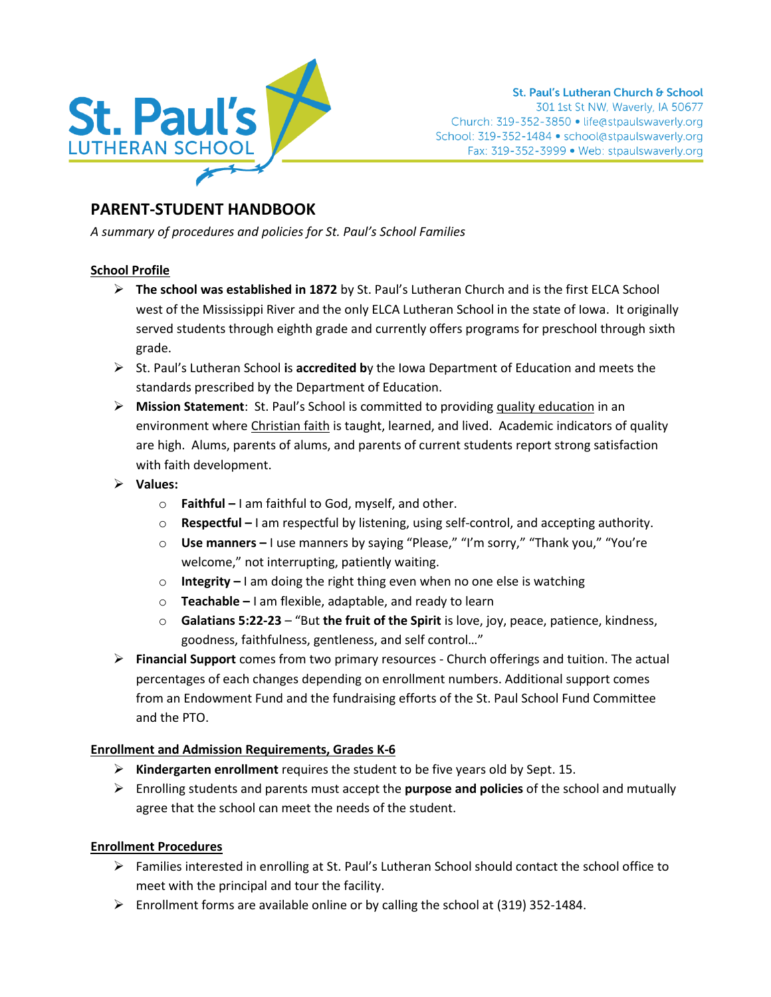

# **PARENT-STUDENT HANDBOOK**

*A summary of procedures and policies for St. Paul's School Families*

## **School Profile**

- ➢ **The school was established in 1872** by St. Paul's Lutheran Church and is the first ELCA School west of the Mississippi River and the only ELCA Lutheran School in the state of Iowa. It originally served students through eighth grade and currently offers programs for preschool through sixth grade.
- ➢ St. Paul's Lutheran School **i**s **accredited b**y the Iowa Department of Education and meets the standards prescribed by the Department of Education.
- ➢ **Mission Statement**: St. Paul's School is committed to providing quality education in an environment where Christian faith is taught, learned, and lived. Academic indicators of quality are high. Alums, parents of alums, and parents of current students report strong satisfaction with faith development.
- ➢ **Values:**
	- o **Faithful –** I am faithful to God, myself, and other.
	- o **Respectful –** I am respectful by listening, using self-control, and accepting authority.
	- o **Use manners –** I use manners by saying "Please," "I'm sorry," "Thank you," "You're welcome," not interrupting, patiently waiting.
	- o **Integrity –** I am doing the right thing even when no one else is watching
	- o **Teachable –** I am flexible, adaptable, and ready to learn
	- o **Galatians 5:22-23** "But **the fruit of the Spirit** is love, joy, peace, patience, kindness, goodness, faithfulness, gentleness, and self control…"
- ➢ **Financial Support** comes from two primary resources Church offerings and tuition. The actual percentages of each changes depending on enrollment numbers. Additional support comes from an Endowment Fund and the fundraising efforts of the St. Paul School Fund Committee and the PTO.

## **Enrollment and Admission Requirements, Grades K-6**

- ➢ **Kindergarten enrollment** requires the student to be five years old by Sept. 15.
- ➢ Enrolling students and parents must accept the **purpose and policies** of the school and mutually agree that the school can meet the needs of the student.

## **Enrollment Procedures**

- ➢ Families interested in enrolling at St. Paul's Lutheran School should contact the school office to meet with the principal and tour the facility.
- $\triangleright$  Enrollment forms are available online or by calling the school at (319) 352-1484.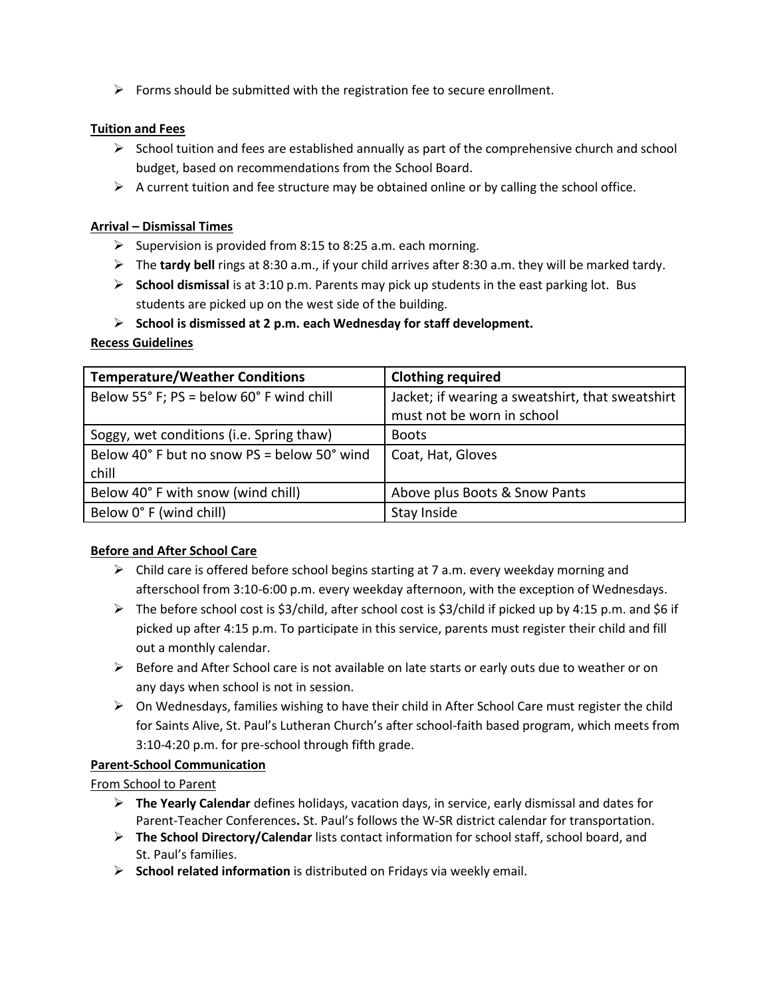$\triangleright$  Forms should be submitted with the registration fee to secure enrollment.

## **Tuition and Fees**

- $\triangleright$  School tuition and fees are established annually as part of the comprehensive church and school budget, based on recommendations from the School Board.
- $\triangleright$  A current tuition and fee structure may be obtained online or by calling the school office.

### **Arrival – Dismissal Times**

- $\triangleright$  Supervision is provided from 8:15 to 8:25 a.m. each morning.
- ➢ The **tardy bell** rings at 8:30 a.m., if your child arrives after 8:30 a.m. they will be marked tardy.
- ➢ **School dismissal** is at 3:10 p.m. Parents may pick up students in the east parking lot. Bus students are picked up on the west side of the building.
- ➢ **School is dismissed at 2 p.m. each Wednesday for staff development.**

## **Recess Guidelines**

| <b>Temperature/Weather Conditions</b>       | <b>Clothing required</b>                                                       |
|---------------------------------------------|--------------------------------------------------------------------------------|
| Below 55° F; PS = below 60° F wind chill    | Jacket; if wearing a sweatshirt, that sweatshirt<br>must not be worn in school |
|                                             |                                                                                |
| Soggy, wet conditions (i.e. Spring thaw)    | <b>Boots</b>                                                                   |
| Below 40° F but no snow PS = below 50° wind | Coat, Hat, Gloves                                                              |
| chill                                       |                                                                                |
| Below 40° F with snow (wind chill)          | Above plus Boots & Snow Pants                                                  |
| Below 0° F (wind chill)                     | Stay Inside                                                                    |

## **Before and After School Care**

- $\triangleright$  Child care is offered before school begins starting at 7 a.m. every weekday morning and afterschool from 3:10-6:00 p.m. every weekday afternoon, with the exception of Wednesdays.
- $\triangleright$  The before school cost is \$3/child, after school cost is \$3/child if picked up by 4:15 p.m. and \$6 if picked up after 4:15 p.m. To participate in this service, parents must register their child and fill out a monthly calendar.
- $\triangleright$  Before and After School care is not available on late starts or early outs due to weather or on any days when school is not in session.
- $\triangleright$  On Wednesdays, families wishing to have their child in After School Care must register the child for Saints Alive, St. Paul's Lutheran Church's after school-faith based program, which meets from 3:10-4:20 p.m. for pre-school through fifth grade.

## **Parent-School Communication**

# From School to Parent

- ➢ **The Yearly Calendar** defines holidays, vacation days, in service, early dismissal and dates for Parent-Teacher Conferences**.** St. Paul's follows the W-SR district calendar for transportation.
- ➢ **The School Directory/Calendar** lists contact information for school staff, school board, and St. Paul's families.
- ➢ **School related information** is distributed on Fridays via weekly email.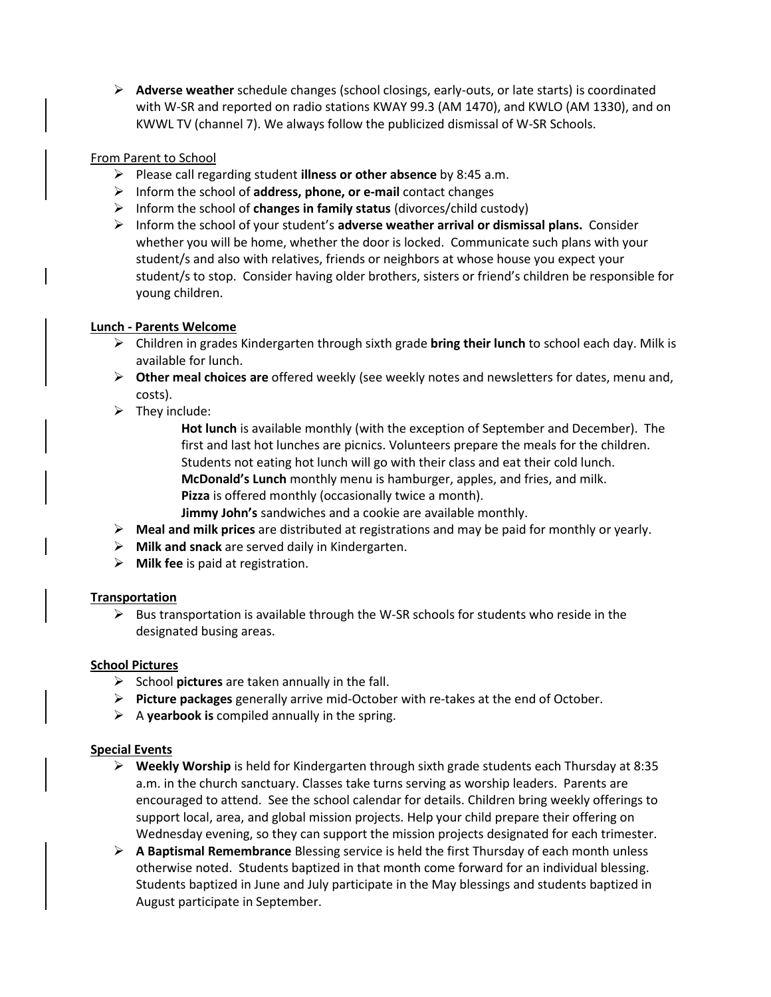➢ **Adverse weather** schedule changes (school closings, early-outs, or late starts) is coordinated with W-SR and reported on radio stations KWAY 99.3 (AM 1470), and KWLO (AM 1330), and on KWWL TV (channel 7). We always follow the publicized dismissal of W-SR Schools.

#### From Parent to School

- ➢ Please call regarding student **illness or other absence** by 8:45 a.m.
- ➢ Inform the school of **address, phone, or e-mail** contact changes
- ➢ Inform the school of **changes in family status** (divorces/child custody)
- ➢ Inform the school of your student's **adverse weather arrival or dismissal plans.** Consider whether you will be home, whether the door is locked. Communicate such plans with your student/s and also with relatives, friends or neighbors at whose house you expect your student/s to stop. Consider having older brothers, sisters or friend's children be responsible for young children.

#### **Lunch - Parents Welcome**

- ➢ Children in grades Kindergarten through sixth grade **bring their lunch** to school each day. Milk is available for lunch.
- ➢ **Other meal choices are** offered weekly (see weekly notes and newsletters for dates, menu and, costs).
- $\triangleright$  They include:
	- **Hot lunch** is available monthly (with the exception of September and December). The first and last hot lunches are picnics. Volunteers prepare the meals for the children. Students not eating hot lunch will go with their class and eat their cold lunch. **McDonald's Lunch** monthly menu is hamburger, apples, and fries, and milk. **Pizza** is offered monthly (occasionally twice a month).
	- **Jimmy John's** sandwiches and a cookie are available monthly.
- ➢ **Meal and milk prices** are distributed at registrations and may be paid for monthly or yearly.
- ➢ **Milk and snack** are served daily in Kindergarten.
- ➢ **Milk fee** is paid at registration.

#### **Transportation**

 $\triangleright$  Bus transportation is available through the W-SR schools for students who reside in the designated busing areas.

#### **School Pictures**

- ➢ School **pictures** are taken annually in the fall.
- ➢ **Picture packages** generally arrive mid-October with re-takes at the end of October.
- ➢ A **yearbook is** compiled annually in the spring.

#### **Special Events**

- ➢ **Weekly Worship** is held for Kindergarten through sixth grade students each Thursday at 8:35 a.m. in the church sanctuary. Classes take turns serving as worship leaders. Parents are encouraged to attend. See the school calendar for details. Children bring weekly offerings to support local, area, and global mission projects. Help your child prepare their offering on Wednesday evening, so they can support the mission projects designated for each trimester.
- ➢ **A Baptismal Remembrance** Blessing service is held the first Thursday of each month unless otherwise noted. Students baptized in that month come forward for an individual blessing. Students baptized in June and July participate in the May blessings and students baptized in August participate in September.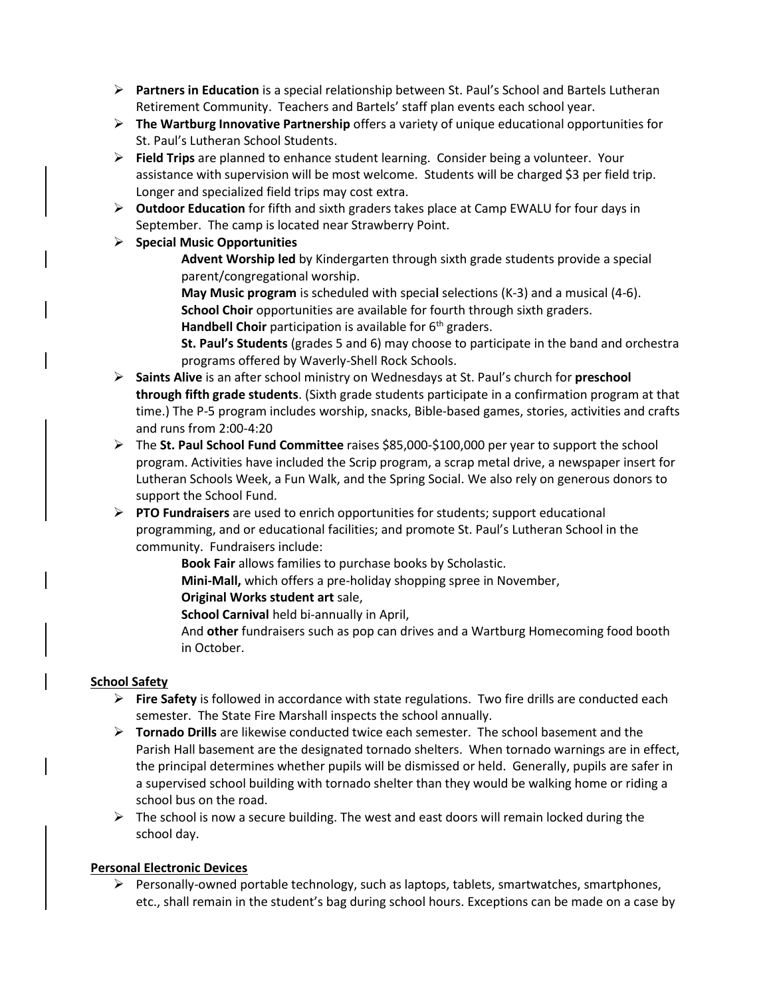- ➢ **Partners in Education** is a special relationship between St. Paul's School and Bartels Lutheran Retirement Community. Teachers and Bartels' staff plan events each school year.
- ➢ **The Wartburg Innovative Partnership** offers a variety of unique educational opportunities for St. Paul's Lutheran School Students.
- ➢ **Field Trips** are planned to enhance student learning. Consider being a volunteer. Your assistance with supervision will be most welcome. Students will be charged \$3 per field trip. Longer and specialized field trips may cost extra.
- ➢ **Outdoor Education** for fifth and sixth graders takes place at Camp EWALU for four days in September.The camp is located near Strawberry Point.
- ➢ **Special Music Opportunities** 
	- **Advent Worship led** by Kindergarten through sixth grade students provide a special parent/congregational worship.
	- **May Music program** is scheduled with specia**l** selections (K-3) and a musical (4-6). **School Choir** opportunities are available for fourth through sixth graders.
	- **Handbell Choir** participation is available for 6<sup>th</sup> graders.
	- **St. Paul's Students** (grades 5 and 6) may choose to participate in the band and orchestra programs offered by Waverly-Shell Rock Schools.
- ➢ **Saints Alive** is an after school ministry on Wednesdays at St. Paul's church for **preschool through fifth grade students**. (Sixth grade students participate in a confirmation program at that time.) The P-5 program includes worship, snacks, Bible-based games, stories, activities and crafts and runs from 2:00-4:20
- ➢ The **St. Paul School Fund Committee** raises \$85,000-\$100,000 per year to support the school program. Activities have included the Scrip program, a scrap metal drive, a newspaper insert for Lutheran Schools Week, a Fun Walk, and the Spring Social. We also rely on generous donors to support the School Fund.
- ➢ **PTO Fundraisers** are used to enrich opportunities for students; support educational programming, and or educational facilities; and promote St. Paul's Lutheran School in the community. Fundraisers include:
	- **Book Fair** allows families to purchase books by Scholastic.
	- **Mini-Mall,** which offers a pre-holiday shopping spree in November,
	- **Original Works student art** sale,
	- **School Carnival** held bi-annually in April,
	- And **other** fundraisers such as pop can drives and a Wartburg Homecoming food booth in October.

## **School Safety**

- ➢ **Fire Safety** is followed in accordance with state regulations. Two fire drills are conducted each semester. The State Fire Marshall inspects the school annually.
- ➢ **Tornado Drills** are likewise conducted twice each semester. The school basement and the Parish Hall basement are the designated tornado shelters. When tornado warnings are in effect, the principal determines whether pupils will be dismissed or held. Generally, pupils are safer in a supervised school building with tornado shelter than they would be walking home or riding a school bus on the road.
- $\triangleright$  The school is now a secure building. The west and east doors will remain locked during the school day.

## **Personal Electronic Devices**

➢ Personally-owned portable technology, such as laptops, tablets, smartwatches, smartphones, etc., shall remain in the student's bag during school hours. Exceptions can be made on a case by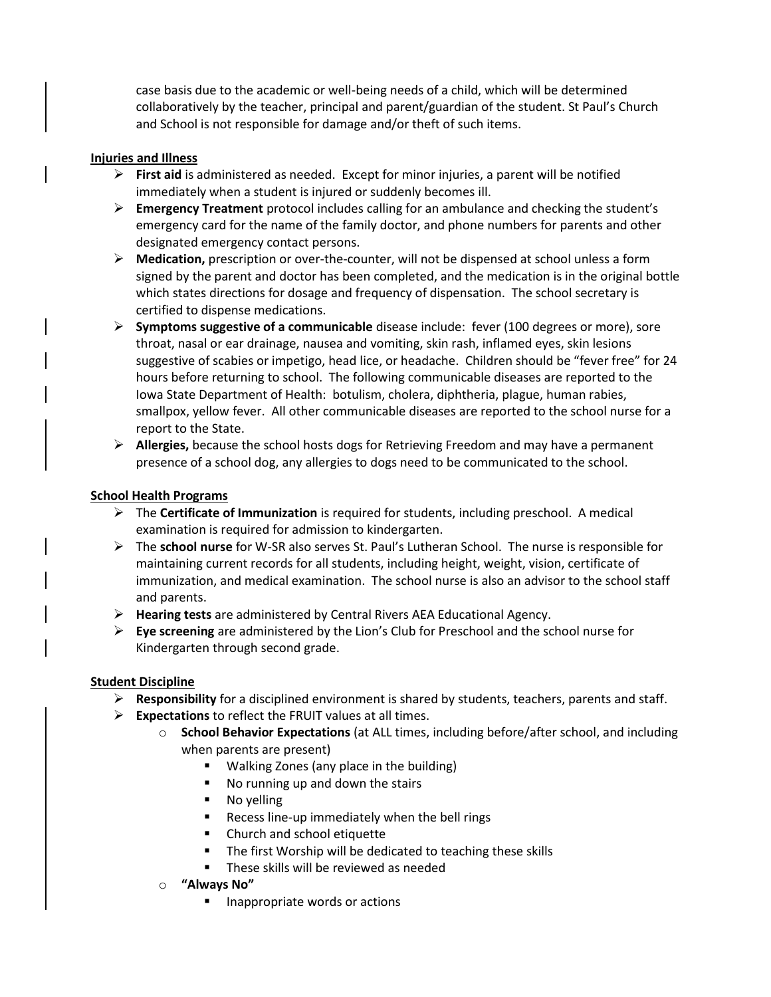case basis due to the academic or well-being needs of a child, which will be determined collaboratively by the teacher, principal and parent/guardian of the student. St Paul's Church and School is not responsible for damage and/or theft of such items.

#### **Injuries and Illness**

- ➢ **First aid** is administered as needed. Except for minor injuries, a parent will be notified immediately when a student is injured or suddenly becomes ill.
- ➢ **Emergency Treatment** protocol includes calling for an ambulance and checking the student's emergency card for the name of the family doctor, and phone numbers for parents and other designated emergency contact persons.
- ➢ **Medication,** prescription or over-the-counter, will not be dispensed at school unless a form signed by the parent and doctor has been completed, and the medication is in the original bottle which states directions for dosage and frequency of dispensation. The school secretary is certified to dispense medications.
- ➢ **Symptoms suggestive of a communicable** disease include: fever (100 degrees or more), sore throat, nasal or ear drainage, nausea and vomiting, skin rash, inflamed eyes, skin lesions suggestive of scabies or impetigo, head lice, or headache. Children should be "fever free" for 24 hours before returning to school. The following communicable diseases are reported to the Iowa State Department of Health: botulism, cholera, diphtheria, plague, human rabies, smallpox, yellow fever. All other communicable diseases are reported to the school nurse for a report to the State.
- ➢ **Allergies,** because the school hosts dogs for Retrieving Freedom and may have a permanent presence of a school dog, any allergies to dogs need to be communicated to the school.

#### **School Health Programs**

- ➢ The **Certificate of Immunization** is required for students, including preschool. A medical examination is required for admission to kindergarten.
- ➢ The **school nurse** for W-SR also serves St. Paul's Lutheran School. The nurse is responsible for maintaining current records for all students, including height, weight, vision, certificate of immunization, and medical examination. The school nurse is also an advisor to the school staff and parents.
- ➢ **Hearing tests** are administered by Central Rivers AEA Educational Agency.
- ➢ **Eye screening** are administered by the Lion's Club for Preschool and the school nurse for Kindergarten through second grade.

## **Student Discipline**

- ➢ **Responsibility** for a disciplined environment is shared by students, teachers, parents and staff.
- ➢ **Expectations** to reflect the FRUIT values at all times.
	- o **School Behavior Expectations** (at ALL times, including before/after school, and including when parents are present)
		- Walking Zones (any place in the building)
		- No running up and down the stairs
		- No yelling
		- Recess line-up immediately when the bell rings
		- Church and school etiquette
		- The first Worship will be dedicated to teaching these skills
		- These skills will be reviewed as needed
	- o **"Always No"**
		- Inappropriate words or actions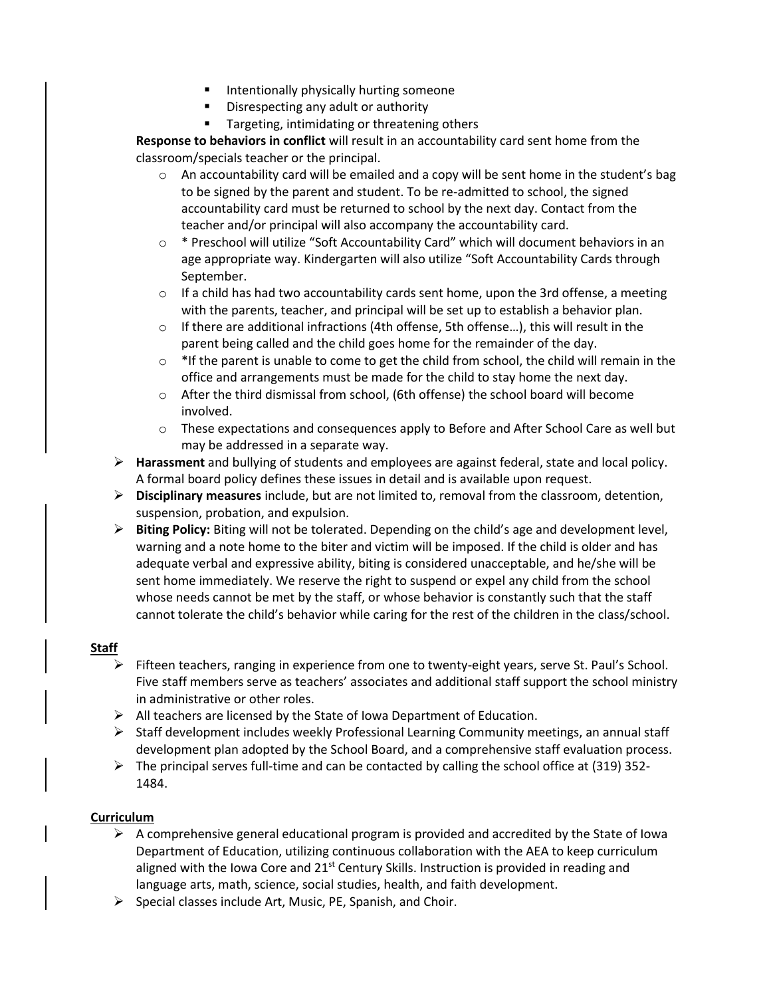- Intentionally physically hurting someone
- Disrespecting any adult or authority
- Targeting, intimidating or threatening others

**Response to behaviors in conflict** will result in an accountability card sent home from the classroom/specials teacher or the principal.

- $\circ$  An accountability card will be emailed and a copy will be sent home in the student's bag to be signed by the parent and student. To be re-admitted to school, the signed accountability card must be returned to school by the next day. Contact from the teacher and/or principal will also accompany the accountability card.
- $\circ$  \* Preschool will utilize "Soft Accountability Card" which will document behaviors in an age appropriate way. Kindergarten will also utilize "Soft Accountability Cards through September.
- $\circ$  If a child has had two accountability cards sent home, upon the 3rd offense, a meeting with the parents, teacher, and principal will be set up to establish a behavior plan.
- $\circ$  If there are additional infractions (4th offense, 5th offense...), this will result in the parent being called and the child goes home for the remainder of the day.
- $\circ$  \*If the parent is unable to come to get the child from school, the child will remain in the office and arrangements must be made for the child to stay home the next day.
- o After the third dismissal from school, (6th offense) the school board will become involved.
- $\circ$  These expectations and consequences apply to Before and After School Care as well but may be addressed in a separate way.
- ➢ **Harassment** and bullying of students and employees are against federal, state and local policy. A formal board policy defines these issues in detail and is available upon request.
- ➢ **Disciplinary measures** include, but are not limited to, removal from the classroom, detention, suspension, probation, and expulsion.
- ➢ **Biting Policy:** Biting will not be tolerated. Depending on the child's age and development level, warning and a note home to the biter and victim will be imposed. If the child is older and has adequate verbal and expressive ability, biting is considered unacceptable, and he/she will be sent home immediately. We reserve the right to suspend or expel any child from the school whose needs cannot be met by the staff, or whose behavior is constantly such that the staff cannot tolerate the child's behavior while caring for the rest of the children in the class/school.

#### **Staff**

- ➢ Fifteen teachers, ranging in experience from one to twenty-eight years, serve St. Paul's School. Five staff members serve as teachers' associates and additional staff support the school ministry in administrative or other roles.
- $\triangleright$  All teachers are licensed by the State of Iowa Department of Education.
- $\triangleright$  Staff development includes weekly Professional Learning Community meetings, an annual staff development plan adopted by the School Board, and a comprehensive staff evaluation process.
- $\triangleright$  The principal serves full-time and can be contacted by calling the school office at (319) 352-1484.

## **Curriculum**

- $\triangleright$  A comprehensive general educational program is provided and accredited by the State of Iowa Department of Education, utilizing continuous collaboration with the AEA to keep curriculum aligned with the Iowa Core and  $21^{st}$  Century Skills. Instruction is provided in reading and language arts, math, science, social studies, health, and faith development.
- $\triangleright$  Special classes include Art, Music, PE, Spanish, and Choir.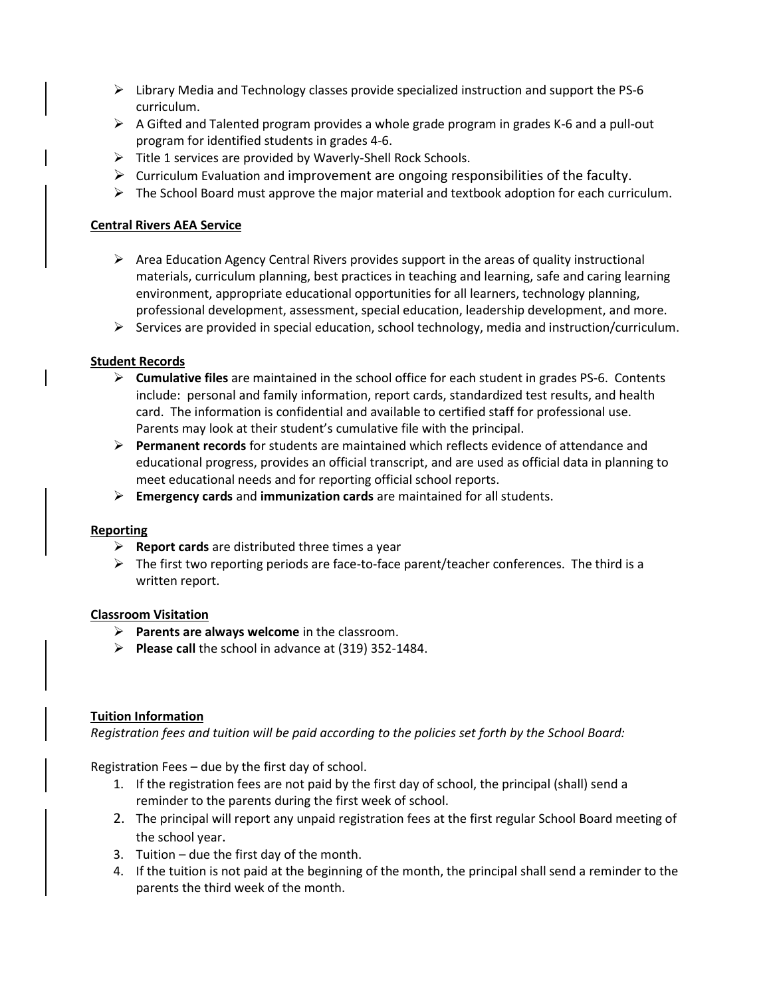- $\triangleright$  Library Media and Technology classes provide specialized instruction and support the PS-6 curriculum.
- $\triangleright$  A Gifted and Talented program provides a whole grade program in grades K-6 and a pull-out program for identified students in grades 4-6.
- ➢ Title 1 services are provided by Waverly-Shell Rock Schools.
- $\triangleright$  Curriculum Evaluation and improvement are ongoing responsibilities of the faculty.
- $\triangleright$  The School Board must approve the major material and textbook adoption for each curriculum.

### **Central Rivers AEA Service**

- $\triangleright$  Area Education Agency Central Rivers provides support in the areas of quality instructional materials, curriculum planning, best practices in teaching and learning, safe and caring learning environment, appropriate educational opportunities for all learners, technology planning, professional development, assessment, special education, leadership development, and more.
- $\triangleright$  Services are provided in special education, school technology, media and instruction/curriculum.

#### **Student Records**

- ➢ **Cumulative files** are maintained in the school office for each student in grades PS-6. Contents include: personal and family information, report cards, standardized test results, and health card. The information is confidential and available to certified staff for professional use. Parents may look at their student's cumulative file with the principal.
- ➢ **Permanent records** for students are maintained which reflects evidence of attendance and educational progress, provides an official transcript, and are used as official data in planning to meet educational needs and for reporting official school reports.
- ➢ **Emergency cards** and **immunization cards** are maintained for all students.

#### **Reporting**

- ➢ **Report cards** are distributed three times a year
- $\triangleright$  The first two reporting periods are face-to-face parent/teacher conferences. The third is a written report.

#### **Classroom Visitation**

- ➢ **Parents are always welcome** in the classroom.
- ➢ **Please call** the school in advance at (319) 352-1484.

#### **Tuition Information**

*Registration fees and tuition will be paid according to the policies set forth by the School Board:*

Registration Fees – due by the first day of school.

- 1. If the registration fees are not paid by the first day of school, the principal (shall) send a reminder to the parents during the first week of school.
- 2. The principal will report any unpaid registration fees at the first regular School Board meeting of the school year.
- 3. Tuition due the first day of the month.
- 4. If the tuition is not paid at the beginning of the month, the principal shall send a reminder to the parents the third week of the month.